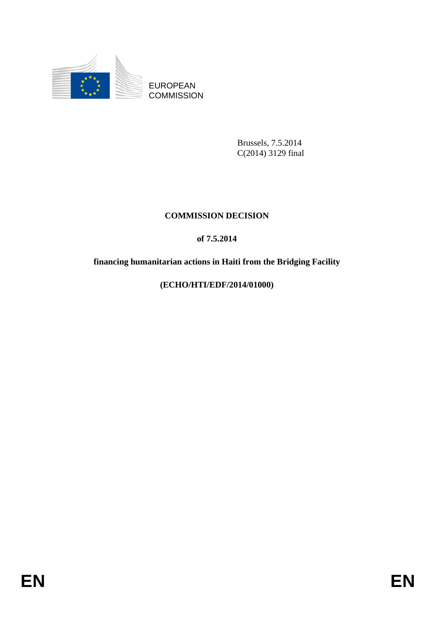

EUROPEAN **COMMISSION** 

> Brussels, 7.5.2014 C(2014) 3129 final

# **COMMISSION DECISION**

# **of 7.5.2014**

# **financing humanitarian actions in Haiti from the Bridging Facility**

## **(ECHO/HTI/EDF/2014/01000)**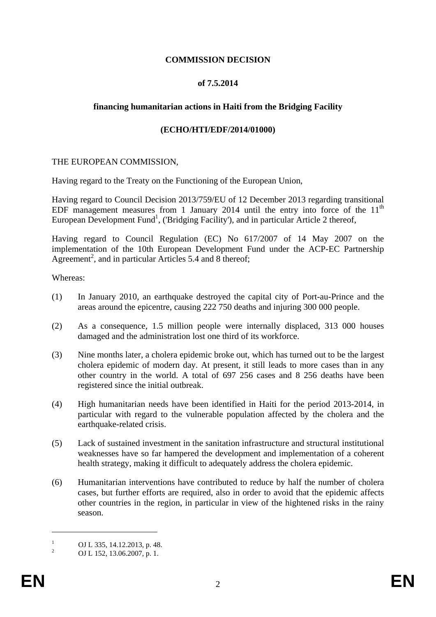## **COMMISSION DECISION**

### **of 7.5.2014**

### **financing humanitarian actions in Haiti from the Bridging Facility**

### **(ECHO/HTI/EDF/2014/01000)**

#### THE EUROPEAN COMMISSION,

Having regard to the Treaty on the Functioning of the European Union,

Having regard to Council Decision 2013/759/EU of 12 December 2013 regarding transitional EDF management measures from 1 January 2014 until the entry into force of the  $11<sup>th</sup>$ European Development Fund<sup>1</sup>, ('Bridging Facility'), and in particular Article 2 thereof,

Having regard to Council Regulation (EC) No 617/2007 of 14 May 2007 on the implementation of the 10th European Development Fund under the ACP-EC Partnership Agreement<sup>2</sup>, and in particular Articles 5.4 and 8 thereof;

Whereas:

- (1) In January 2010, an earthquake destroyed the capital city of Port-au-Prince and the areas around the epicentre, causing 222 750 deaths and injuring 300 000 people.
- (2) As a consequence, 1.5 million people were internally displaced, 313 000 houses damaged and the administration lost one third of its workforce.
- (3) Nine months later, a cholera epidemic broke out, which has turned out to be the largest cholera epidemic of modern day. At present, it still leads to more cases than in any other country in the world. A total of 697 256 cases and 8 256 deaths have been registered since the initial outbreak.
- (4) High humanitarian needs have been identified in Haiti for the period 2013-2014, in particular with regard to the vulnerable population affected by the cholera and the earthquake-related crisis.
- (5) Lack of sustained investment in the sanitation infrastructure and structural institutional weaknesses have so far hampered the development and implementation of a coherent health strategy, making it difficult to adequately address the cholera epidemic.
- (6) Humanitarian interventions have contributed to reduce by half the number of cholera cases, but further efforts are required, also in order to avoid that the epidemic affects other countries in the region, in particular in view of the hightened risks in the rainy season.

<sup>1</sup> OJ L 335, 14.12.2013, p. 48.

<sup>2</sup> OJ L 152, 13.06.2007, p. 1.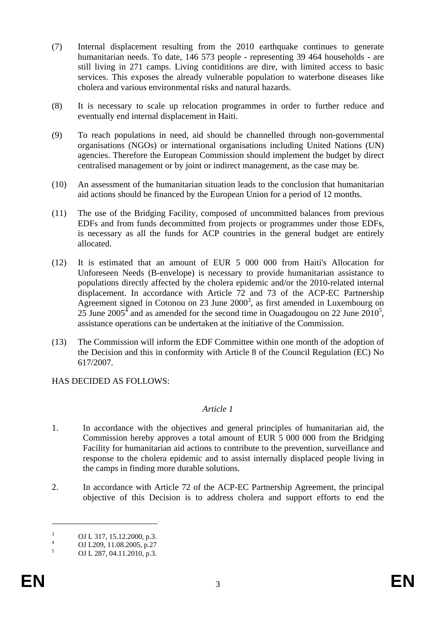- (7) Internal displacement resulting from the 2010 earthquake continues to generate humanitarian needs. To date, 146 573 people - representing 39 464 households - are still living in 271 camps. Living contiditions are dire, with limited access to basic services. This exposes the already vulnerable population to waterbone diseases like cholera and various environmental risks and natural hazards.
- (8) It is necessary to scale up relocation programmes in order to further reduce and eventually end internal displacement in Haiti.
- (9) To reach populations in need, aid should be channelled through non-governmental organisations (NGOs) or international organisations including United Nations (UN) agencies. Therefore the European Commission should implement the budget by direct centralised management or by joint or indirect management, as the case may be.
- (10) An assessment of the humanitarian situation leads to the conclusion that humanitarian aid actions should be financed by the European Union for a period of 12 months.
- (11) The use of the Bridging Facility, composed of uncommitted balances from previous EDFs and from funds decommitted from projects or programmes under those EDFs, is necessary as all the funds for ACP countries in the general budget are entirely allocated.
- (12) It is estimated that an amount of EUR 5 000 000 from Haiti's Allocation for Unforeseen Needs (B-envelope) is necessary to provide humanitarian assistance to populations directly affected by the cholera epidemic and/or the 2010-related internal displacement. In accordance with Article 72 and 73 of the ACP-EC Partnership Agreement signed in Cotonou on 23 June  $2000<sup>3</sup>$ , as first amended in Luxembourg on 25 June 2005<sup> $\rm{4}$ </sup> and as amended for the second time in Ouagadougou on 22 June 2010<sup>5</sup>, assistance operations can be undertaken at the initiative of the Commission.
- (13) The Commission will inform the EDF Committee within one month of the adoption of the Decision and this in conformity with Article 8 of the Council Regulation (EC) No 617/2007.

HAS DECIDED AS FOLLOWS:

### *Article 1*

- 1. In accordance with the objectives and general principles of humanitarian aid, the Commission hereby approves a total amount of EUR 5 000 000 from the Bridging Facility for humanitarian aid actions to contribute to the prevention, surveillance and response to the cholera epidemic and to assist internally displaced people living in the camps in finding more durable solutions.
- 2. In accordance with Article 72 of the ACP-EC Partnership Agreement, the principal objective of this Decision is to address cholera and support efforts to end the

<sup>3</sup> OJ L 317, 15.12.2000, p.3.

<sup>4</sup> OJ L209, 11.08.2005, p.27

<sup>5</sup> OJ L 287, 04.11.2010, p.3.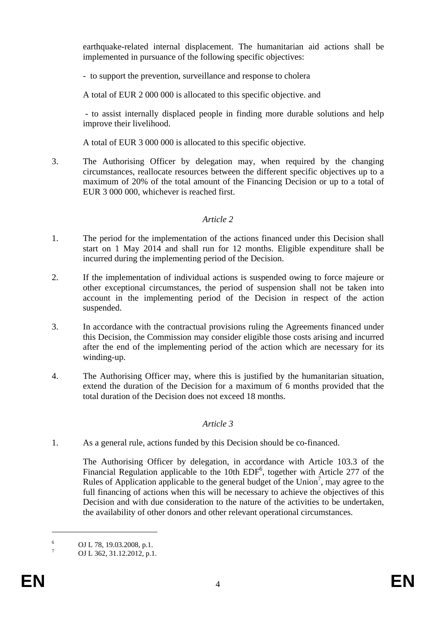earthquake-related internal displacement. The humanitarian aid actions shall be implemented in pursuance of the following specific objectives:

- to support the prevention, surveillance and response to cholera

A total of EUR 2 000 000 is allocated to this specific objective. and

 - to assist internally displaced people in finding more durable solutions and help improve their livelihood.

A total of EUR 3 000 000 is allocated to this specific objective.

3. The Authorising Officer by delegation may, when required by the changing circumstances, reallocate resources between the different specific objectives up to a maximum of 20% of the total amount of the Financing Decision or up to a total of EUR 3 000 000, whichever is reached first.

# *Article 2*

- 1. The period for the implementation of the actions financed under this Decision shall start on 1 May 2014 and shall run for 12 months. Eligible expenditure shall be incurred during the implementing period of the Decision.
- 2. If the implementation of individual actions is suspended owing to force majeure or other exceptional circumstances, the period of suspension shall not be taken into account in the implementing period of the Decision in respect of the action suspended.
- 3. In accordance with the contractual provisions ruling the Agreements financed under this Decision, the Commission may consider eligible those costs arising and incurred after the end of the implementing period of the action which are necessary for its winding-up.
- 4. The Authorising Officer may, where this is justified by the humanitarian situation, extend the duration of the Decision for a maximum of 6 months provided that the total duration of the Decision does not exceed 18 months.

# *Article 3*

1. As a general rule, actions funded by this Decision should be co-financed.

The Authorising Officer by delegation, in accordance with Article 103.3 of the Financial Regulation applicable to the 10th  $EDF<sup>6</sup>$ , together with Article 277 of the Rules of Application applicable to the general budget of the Union<sup>7</sup>, may agree to the full financing of actions when this will be necessary to achieve the objectives of this Decision and with due consideration to the nature of the activities to be undertaken, the availability of other donors and other relevant operational circumstances.

<sup>6</sup> OJ L 78, 19.03.2008, p.1.

<sup>7</sup> OJ L 362, 31.12.2012, p.1.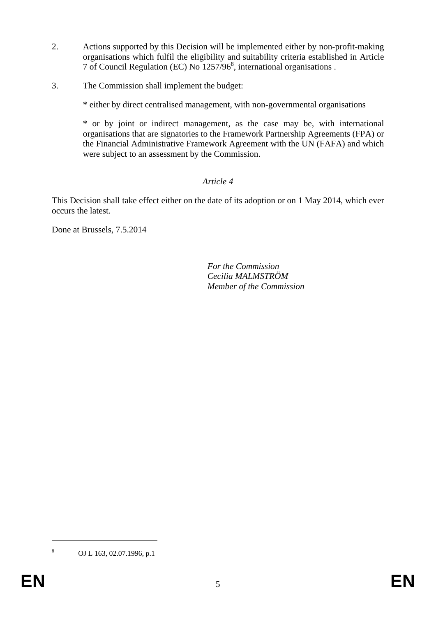- 2. Actions supported by this Decision will be implemented either by non-profit-making organisations which fulfil the eligibility and suitability criteria established in Article 7 of Council Regulation (EC) No 1257/968 , international organisations .
- 3. The Commission shall implement the budget:

\* either by direct centralised management, with non-governmental organisations

\* or by joint or indirect management, as the case may be, with international organisations that are signatories to the Framework Partnership Agreements (FPA) or the Financial Administrative Framework Agreement with the UN (FAFA) and which were subject to an assessment by the Commission.

# *Article 4*

This Decision shall take effect either on the date of its adoption or on 1 May 2014, which ever occurs the latest.

Done at Brussels, 7.5.2014

 *For the Commission Cecilia MALMSTRÖM Member of the Commission*

OJ L 163, 02.07.1996, p.1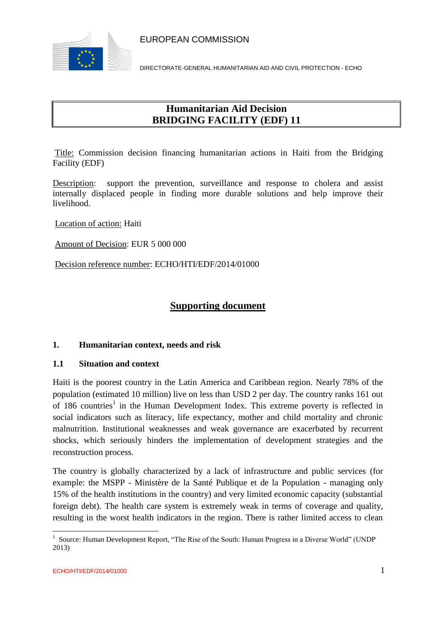

DIRECTORATE-GENERAL HUMANITARIAN AID AND CIVIL PROTECTION - ECHO

# **Humanitarian Aid Decision BRIDGING FACILITY (EDF) 11**

Title: Commission decision financing humanitarian actions in Haiti from the Bridging Facility (EDF)

Description: support the prevention, surveillance and response to cholera and assist internally displaced people in finding more durable solutions and help improve their livelihood.

Location of action: Haiti

Amount of Decision: EUR 5 000 000

Decision reference number: ECHO/HTI/EDF/2014/01000

## **Supporting document**

### **1. Humanitarian context, needs and risk**

#### **1.1 Situation and context**

Haiti is the poorest country in the Latin America and Caribbean region. Nearly 78% of the population (estimated 10 million) live on less than USD 2 per day. The country ranks 161 out of 186 countries<sup>1</sup> in the Human Development Index. This extreme poverty is reflected in social indicators such as literacy, life expectancy, mother and child mortality and chronic malnutrition. Institutional weaknesses and weak governance are exacerbated by recurrent shocks, which seriously hinders the implementation of development strategies and the reconstruction process.

The country is globally characterized by a lack of infrastructure and public services (for example: the MSPP - Ministère de la Santé Publique et de la Population - managing only 15% of the health institutions in the country) and very limited economic capacity (substantial foreign debt). The health care system is extremely weak in terms of coverage and quality, resulting in the worst health indicators in the region. There is rather limited access to clean

 1 Source: Human Development Report, "The Rise of the South: Human Progress in a Diverse World" (UNDP 2013)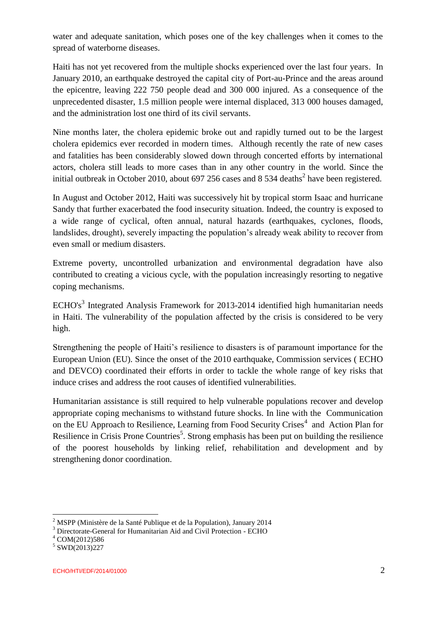water and adequate sanitation, which poses one of the key challenges when it comes to the spread of waterborne diseases.

Haiti has not yet recovered from the multiple shocks experienced over the last four years. In January 2010, an earthquake destroyed the capital city of Port-au-Prince and the areas around the epicentre, leaving 222 750 people dead and 300 000 injured. As a consequence of the unprecedented disaster, 1.5 million people were internal displaced, 313 000 houses damaged, and the administration lost one third of its civil servants.

Nine months later, the cholera epidemic broke out and rapidly turned out to be the largest cholera epidemics ever recorded in modern times. Although recently the rate of new cases and fatalities has been considerably slowed down through concerted efforts by international actors, cholera still leads to more cases than in any other country in the world. Since the initial outbreak in October 2010, about 697 256 cases and 8 534 deaths<sup>2</sup> have been registered.

In August and October 2012, Haiti was successively hit by tropical storm Isaac and hurricane Sandy that further exacerbated the food insecurity situation. Indeed, the country is exposed to a wide range of cyclical, often annual, natural hazards (earthquakes, cyclones, floods, landslides, drought), severely impacting the population's already weak ability to recover from even small or medium disasters.

Extreme poverty, uncontrolled urbanization and environmental degradation have also contributed to creating a vicious cycle, with the population increasingly resorting to negative coping mechanisms.

 $ECHO's<sup>3</sup>$  Integrated Analysis Framework for 2013-2014 identified high humanitarian needs in Haiti. The vulnerability of the population affected by the crisis is considered to be very high.

Strengthening the people of Haiti's resilience to disasters is of paramount importance for the European Union (EU). Since the onset of the 2010 earthquake, Commission services ( ECHO and DEVCO) coordinated their efforts in order to tackle the whole range of key risks that induce crises and address the root causes of identified vulnerabilities.

Humanitarian assistance is still required to help vulnerable populations recover and develop appropriate coping mechanisms to withstand future shocks. In line with the Communication on the EU Approach to Resilience, Learning from Food Security Crises<sup>4</sup> and Action Plan for Resilience in Crisis Prone Countries<sup>5</sup>. Strong emphasis has been put on building the resilience of the poorest households by linking relief, rehabilitation and development and by strengthening donor coordination.

<sup>2</sup> MSPP (Ministère de la Santé Publique et de la Population), January 2014

<sup>&</sup>lt;sup>3</sup> Directorate-General for Humanitarian Aid and Civil Protection - ECHO

<sup>4</sup> COM(2012)586

<sup>5</sup> SWD(2013)227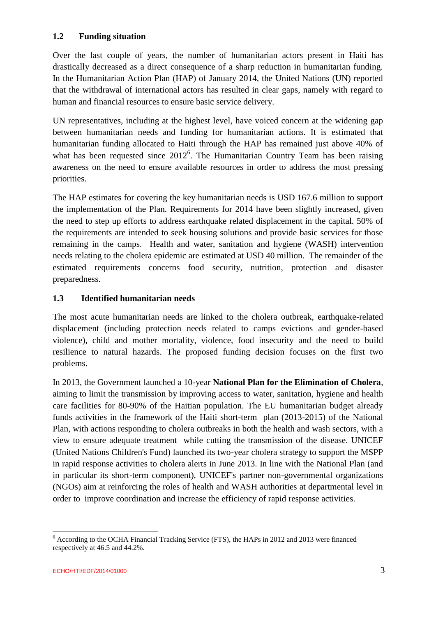### **1.2 Funding situation**

Over the last couple of years, the number of humanitarian actors present in Haiti has drastically decreased as a direct consequence of a sharp reduction in humanitarian funding. In the Humanitarian Action Plan (HAP) of January 2014, the United Nations (UN) reported that the withdrawal of international actors has resulted in clear gaps, namely with regard to human and financial resources to ensure basic service delivery.

UN representatives, including at the highest level, have voiced concern at the widening gap between humanitarian needs and funding for humanitarian actions. It is estimated that humanitarian funding allocated to Haiti through the HAP has remained just above 40% of what has been requested since  $2012^6$ . The Humanitarian Country Team has been raising awareness on the need to ensure available resources in order to address the most pressing priorities.

The HAP estimates for covering the key humanitarian needs is USD 167.6 million to support the implementation of the Plan. Requirements for 2014 have been slightly increased, given the need to step up efforts to address earthquake related displacement in the capital. 50% of the requirements are intended to seek housing solutions and provide basic services for those remaining in the camps. Health and water, sanitation and hygiene (WASH) intervention needs relating to the cholera epidemic are estimated at USD 40 million. The remainder of the estimated requirements concerns food security, nutrition, protection and disaster preparedness.

## **1.3 Identified humanitarian needs**

The most acute humanitarian needs are linked to the cholera outbreak, earthquake-related displacement (including protection needs related to camps evictions and gender-based violence), child and mother mortality, violence, food insecurity and the need to build resilience to natural hazards. The proposed funding decision focuses on the first two problems.

In 2013, the Government launched a 10-year **National Plan for the Elimination of Cholera**, aiming to limit the transmission by improving access to water, sanitation, hygiene and health care facilities for 80-90% of the Haitian population. The EU humanitarian budget already funds activities in the framework of the Haiti short-term plan (2013-2015) of the National Plan, with actions responding to cholera outbreaks in both the health and wash sectors, with a view to ensure adequate treatment while cutting the transmission of the disease. UNICEF (United Nations Children's Fund) launched its two-year cholera strategy to support the MSPP in rapid response activities to cholera alerts in June 2013. In line with the National Plan (and in particular its short-term component), UNICEF's partner non-governmental organizations (NGOs) aim at reinforcing the roles of health and WASH authorities at departmental level in order to improve coordination and increase the efficiency of rapid response activities.

<sup>&</sup>lt;sup>6</sup> According to the OCHA Financial Tracking Service (FTS), the HAPs in 2012 and 2013 were financed respectively at 46.5 and 44.2%.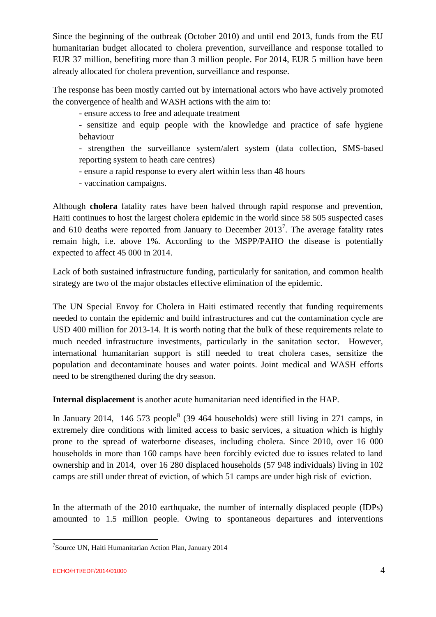Since the beginning of the outbreak (October 2010) and until end 2013, funds from the EU humanitarian budget allocated to cholera prevention, surveillance and response totalled to EUR 37 million, benefiting more than 3 million people. For 2014, EUR 5 million have been already allocated for cholera prevention, surveillance and response.

The response has been mostly carried out by international actors who have actively promoted the convergence of health and WASH actions with the aim to:

- ensure access to free and adequate treatment

- sensitize and equip people with the knowledge and practice of safe hygiene behaviour

- strengthen the surveillance system/alert system (data collection, SMS-based reporting system to heath care centres)

- ensure a rapid response to every alert within less than 48 hours

- vaccination campaigns.

Although **cholera** fatality rates have been halved through rapid response and prevention, Haiti continues to host the largest cholera epidemic in the world since 58 505 suspected cases and 610 deaths were reported from January to December  $2013<sup>7</sup>$ . The average fatality rates remain high, i.e. above 1%. According to the MSPP/PAHO the disease is potentially expected to affect 45 000 in 2014.

Lack of both sustained infrastructure funding, particularly for sanitation, and common health strategy are two of the major obstacles effective elimination of the epidemic.

The UN Special Envoy for Cholera in Haiti estimated recently that funding requirements needed to contain the epidemic and build infrastructures and cut the contamination cycle are USD 400 million for 2013-14. It is worth noting that the bulk of these requirements relate to much needed infrastructure investments, particularly in the sanitation sector. However, international humanitarian support is still needed to treat cholera cases, sensitize the population and decontaminate houses and water points. Joint medical and WASH efforts need to be strengthened during the dry season.

**Internal displacement** is another acute humanitarian need identified in the HAP.

In January 2014, 146 573 people<sup>8</sup> (39 464 households) were still living in 271 camps, in extremely dire conditions with limited access to basic services, a situation which is highly prone to the spread of waterborne diseases, including cholera. Since 2010, over 16 000 households in more than 160 camps have been forcibly evicted due to issues related to land ownership and in 2014, over 16 280 displaced households (57 948 individuals) living in 102 camps are still under threat of eviction, of which 51 camps are under high risk of eviction.

In the aftermath of the 2010 earthquake, the number of internally displaced people (IDPs) amounted to 1.5 million people. Owing to spontaneous departures and interventions

<sup>7</sup> Source UN, Haiti Humanitarian Action Plan, January 2014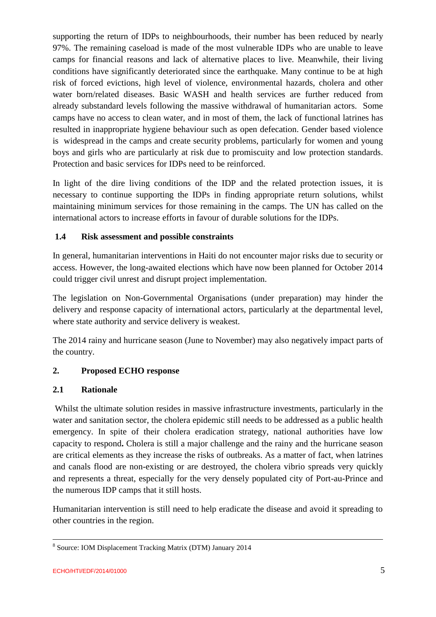supporting the return of IDPs to neighbourhoods, their number has been reduced by nearly 97%. The remaining caseload is made of the most vulnerable IDPs who are unable to leave camps for financial reasons and lack of alternative places to live. Meanwhile, their living conditions have significantly deteriorated since the earthquake. Many continue to be at high risk of forced evictions, high level of violence, environmental hazards, cholera and other water born/related diseases. Basic WASH and health services are further reduced from already substandard levels following the massive withdrawal of humanitarian actors. Some camps have no access to clean water, and in most of them, the lack of functional latrines has resulted in inappropriate hygiene behaviour such as open defecation. Gender based violence is widespread in the camps and create security problems, particularly for women and young boys and girls who are particularly at risk due to promiscuity and low protection standards. Protection and basic services for IDPs need to be reinforced.

In light of the dire living conditions of the IDP and the related protection issues, it is necessary to continue supporting the IDPs in finding appropriate return solutions, whilst maintaining minimum services for those remaining in the camps. The UN has called on the international actors to increase efforts in favour of durable solutions for the IDPs.

## **1.4 Risk assessment and possible constraints**

In general, humanitarian interventions in Haiti do not encounter major risks due to security or access. However, the long-awaited elections which have now been planned for October 2014 could trigger civil unrest and disrupt project implementation.

The legislation on Non-Governmental Organisations (under preparation) may hinder the delivery and response capacity of international actors, particularly at the departmental level, where state authority and service delivery is weakest.

The 2014 rainy and hurricane season (June to November) may also negatively impact parts of the country.

## **2. Proposed ECHO response**

### **2.1 Rationale**

Whilst the ultimate solution resides in massive infrastructure investments, particularly in the water and sanitation sector, the cholera epidemic still needs to be addressed as a public health emergency. In spite of their cholera eradication strategy, national authorities have low capacity to respond**.** Cholera is still a major challenge and the rainy and the hurricane season are critical elements as they increase the risks of outbreaks. As a matter of fact, when latrines and canals flood are non-existing or are destroyed, the cholera vibrio spreads very quickly and represents a threat, especially for the very densely populated city of Port-au-Prince and the numerous IDP camps that it still hosts.

Humanitarian intervention is still need to help eradicate the disease and avoid it spreading to other countries in the region.

<sup>8</sup> Source: IOM Displacement Tracking Matrix (DTM) January 2014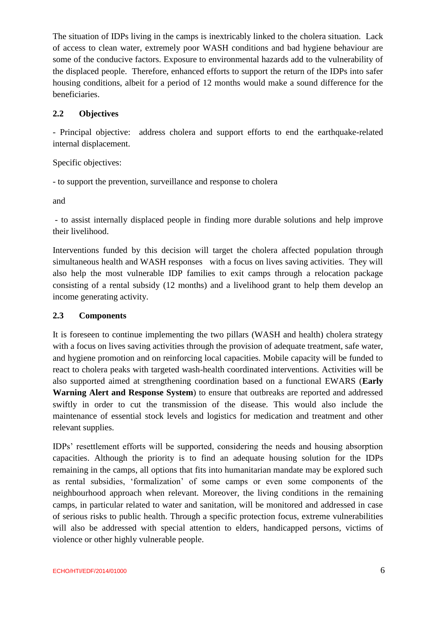The situation of IDPs living in the camps is inextricably linked to the cholera situation. Lack of access to clean water, extremely poor WASH conditions and bad hygiene behaviour are some of the conducive factors. Exposure to environmental hazards add to the vulnerability of the displaced people. Therefore, enhanced efforts to support the return of the IDPs into safer housing conditions, albeit for a period of 12 months would make a sound difference for the beneficiaries.

## **2.2 Objectives**

- Principal objective: address cholera and support efforts to end the earthquake-related internal displacement.

Specific objectives:

- to support the prevention, surveillance and response to cholera

and

- to assist internally displaced people in finding more durable solutions and help improve their livelihood.

Interventions funded by this decision will target the cholera affected population through simultaneous health and WASH responses with a focus on lives saving activities. They will also help the most vulnerable IDP families to exit camps through a relocation package consisting of a rental subsidy (12 months) and a livelihood grant to help them develop an income generating activity.

### **2.3 Components**

It is foreseen to continue implementing the two pillars (WASH and health) cholera strategy with a focus on lives saving activities through the provision of adequate treatment, safe water, and hygiene promotion and on reinforcing local capacities. Mobile capacity will be funded to react to cholera peaks with targeted wash-health coordinated interventions. Activities will be also supported aimed at strengthening coordination based on a functional EWARS (**Early Warning Alert and Response System**) to ensure that outbreaks are reported and addressed swiftly in order to cut the transmission of the disease. This would also include the maintenance of essential stock levels and logistics for medication and treatment and other relevant supplies.

IDPs' resettlement efforts will be supported, considering the needs and housing absorption capacities. Although the priority is to find an adequate housing solution for the IDPs remaining in the camps, all options that fits into humanitarian mandate may be explored such as rental subsidies, 'formalization' of some camps or even some components of the neighbourhood approach when relevant. Moreover, the living conditions in the remaining camps, in particular related to water and sanitation, will be monitored and addressed in case of serious risks to public health. Through a specific protection focus, extreme vulnerabilities will also be addressed with special attention to elders, handicapped persons, victims of violence or other highly vulnerable people.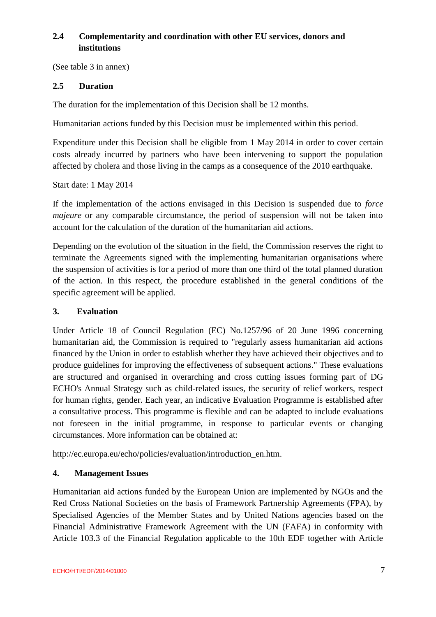## **2.4 Complementarity and coordination with other EU services, donors and institutions**

(See table 3 in annex)

### **2.5 Duration**

The duration for the implementation of this Decision shall be 12 months.

Humanitarian actions funded by this Decision must be implemented within this period.

Expenditure under this Decision shall be eligible from 1 May 2014 in order to cover certain costs already incurred by partners who have been intervening to support the population affected by cholera and those living in the camps as a consequence of the 2010 earthquake.

Start date: 1 May 2014

If the implementation of the actions envisaged in this Decision is suspended due to *force majeure* or any comparable circumstance, the period of suspension will not be taken into account for the calculation of the duration of the humanitarian aid actions.

Depending on the evolution of the situation in the field, the Commission reserves the right to terminate the Agreements signed with the implementing humanitarian organisations where the suspension of activities is for a period of more than one third of the total planned duration of the action. In this respect, the procedure established in the general conditions of the specific agreement will be applied.

#### **3. Evaluation**

Under Article 18 of Council Regulation (EC) No.1257/96 of 20 June 1996 concerning humanitarian aid, the Commission is required to "regularly assess humanitarian aid actions financed by the Union in order to establish whether they have achieved their objectives and to produce guidelines for improving the effectiveness of subsequent actions." These evaluations are structured and organised in overarching and cross cutting issues forming part of DG ECHO's Annual Strategy such as child-related issues, the security of relief workers, respect for human rights, gender. Each year, an indicative Evaluation Programme is established after a consultative process. This programme is flexible and can be adapted to include evaluations not foreseen in the initial programme, in response to particular events or changing circumstances. More information can be obtained at:

http://ec.europa.eu/echo/policies/evaluation/introduction\_en.htm.

#### **4. Management Issues**

Humanitarian aid actions funded by the European Union are implemented by NGOs and the Red Cross National Societies on the basis of Framework Partnership Agreements (FPA), by Specialised Agencies of the Member States and by United Nations agencies based on the Financial Administrative Framework Agreement with the UN (FAFA) in conformity with Article 103.3 of the Financial Regulation applicable to the 10th EDF together with Article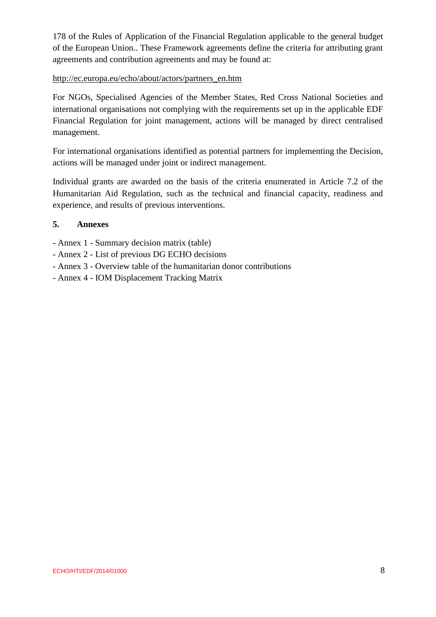178 of the Rules of Application of the Financial Regulation applicable to the general budget of the European Union.. These Framework agreements define the criteria for attributing grant agreements and contribution agreements and may be found at:

#### http://ec.europa.eu/echo/about/actors/partners\_en.htm

For NGOs, Specialised Agencies of the Member States, Red Cross National Societies and international organisations not complying with the requirements set up in the applicable EDF Financial Regulation for joint management, actions will be managed by direct centralised management.

For international organisations identified as potential partners for implementing the Decision, actions will be managed under joint or indirect management.

Individual grants are awarded on the basis of the criteria enumerated in Article 7.2 of the Humanitarian Aid Regulation, such as the technical and financial capacity, readiness and experience, and results of previous interventions.

### **5. Annexes**

- Annex 1 Summary decision matrix (table)
- Annex 2 List of previous DG ECHO decisions
- Annex 3 Overview table of the humanitarian donor contributions
- Annex 4 IOM Displacement Tracking Matrix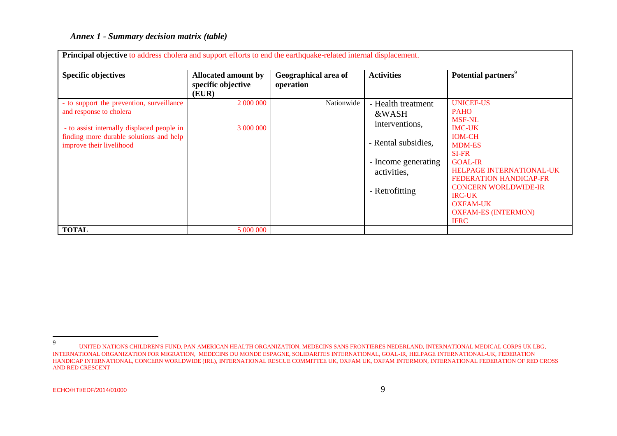#### *Annex 1 - Summary decision matrix (table)*

| <b>Principal objective</b> to address cholera and support efforts to end the earthquake-related internal displacement.                                                                    |                                                           |                                   |                                                                                                                              |                                                                                                                                                                                                                                                                                                                    |  |  |  |
|-------------------------------------------------------------------------------------------------------------------------------------------------------------------------------------------|-----------------------------------------------------------|-----------------------------------|------------------------------------------------------------------------------------------------------------------------------|--------------------------------------------------------------------------------------------------------------------------------------------------------------------------------------------------------------------------------------------------------------------------------------------------------------------|--|--|--|
| <b>Specific objectives</b>                                                                                                                                                                | <b>Allocated amount by</b><br>specific objective<br>(EUR) | Geographical area of<br>operation | <b>Activities</b>                                                                                                            | Potential partners <sup>9</sup>                                                                                                                                                                                                                                                                                    |  |  |  |
| - to support the prevention, surveillance<br>and response to cholera<br>- to assist internally displaced people in<br>finding more durable solutions and help<br>improve their livelihood | 2 000 000<br>3 000 000                                    | Nationwide                        | - Health treatment<br>&WASH<br>interventions,<br>- Rental subsidies,<br>- Income generating<br>activities,<br>- Retrofitting | <b>UNICEF-US</b><br><b>PAHO</b><br><b>MSF-NL</b><br><b>IMC-UK</b><br><b>IOM-CH</b><br><b>MDM-ES</b><br><b>SI-FR</b><br><b>GOAL-IR</b><br>HELPAGE INTERNATIONAL-UK<br><b>FEDERATION HANDICAP-FR</b><br><b>CONCERN WORLDWIDE-IR</b><br><b>IRC-UK</b><br><b>OXFAM-UK</b><br><b>OXFAM-ES (INTERMON)</b><br><b>IFRC</b> |  |  |  |
| <b>TOTAL</b>                                                                                                                                                                              | 5 000 000                                                 |                                   |                                                                                                                              |                                                                                                                                                                                                                                                                                                                    |  |  |  |

<sup>–&</sup>lt;br>9 UNITED NATIONS CHILDREN'S FUND, PAN AMERICAN HEALTH ORGANIZATION, MEDECINS SANS FRONTIERES NEDERLAND, INTERNATIONAL MEDICAL CORPS UK LBG, INTERNATIONAL ORGANIZATION FOR MIGRATION, MEDECINS DU MONDE ESPAGNE, SOLIDARITES INTERNATIONAL, GOAL-IR, HELPAGE INTERNATIONAL-UK, FEDERATION HANDICAP INTERNATIONAL, CONCERN WORLDWIDE (IRL), INTERNATIONAL RESCUE COMMITTEE UK, OXFAM UK, OXFAM INTERMON, INTERNATIONAL FEDERATION OF RED CROSS AND RED CRESCENT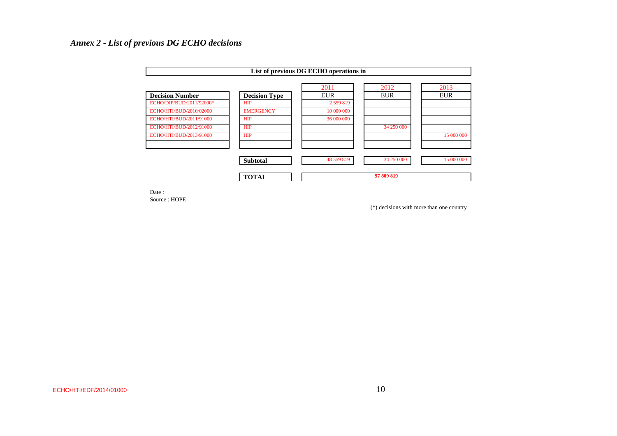## *Annex 2 - List of previous DG ECHO decisions*

| List of previous DG ECHO operations in |                      |               |            |            |  |  |
|----------------------------------------|----------------------|---------------|------------|------------|--|--|
|                                        |                      | 2011          | 2012       | 2013       |  |  |
| <b>Decision Number</b>                 | <b>Decision Type</b> | <b>EUR</b>    | <b>EUR</b> | <b>EUR</b> |  |  |
| ECHO/DIP/BUD/2011/92000*               | <b>HIP</b>           | 2 5 5 9 8 1 9 |            |            |  |  |
| ECHO/HTI/BUD/2010/02000                | <b>EMERGENCY</b>     | 10 000 000    |            |            |  |  |
| ECHO/HTI/BUD/2011/91000                | <b>HIP</b>           | 36 000 000    |            |            |  |  |
| ECHO/HTI/BUD/2012/91000                | <b>HIP</b>           |               | 34 250 000 |            |  |  |
| ECHO/HTI/BUD/2013/91000                | <b>HIP</b>           |               |            | 15 000 000 |  |  |
|                                        | <b>Subtotal</b>      | 48 559 819    | 34 250 000 | 15 000 000 |  |  |
|                                        | <b>TOTAL</b>         | 97 809 819    |            |            |  |  |

Date : Source : HOPE

(\*) decisions with more than one country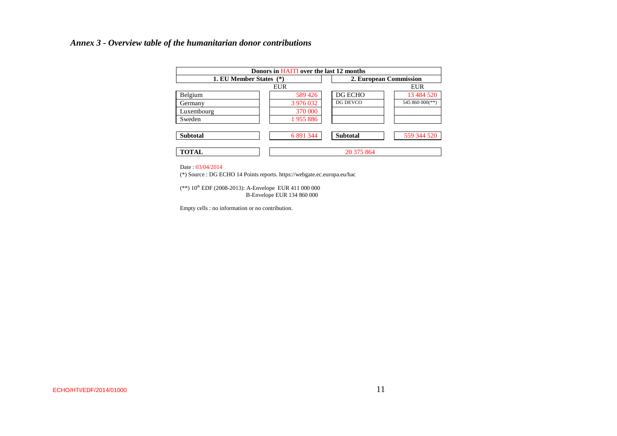#### *Annex 3 - Overview table of the humanitarian donor contributions*

| Donors in HAITI over the last 12 months |            |                        |                 |  |  |  |
|-----------------------------------------|------------|------------------------|-----------------|--|--|--|
| 1. EU Member States (*)                 |            | 2. European Commission |                 |  |  |  |
|                                         | <b>EUR</b> |                        | <b>EUR</b>      |  |  |  |
| Belgium                                 | 589 426    | DG ECHO                | 13 484 520      |  |  |  |
| Germany                                 | 3 976 032  | DG DEVCO               | 545 860 000(**) |  |  |  |
| Luxembourg                              | 370 000    |                        |                 |  |  |  |
| Sweden                                  | 1955886    |                        |                 |  |  |  |
| <b>Subtotal</b>                         | 6 891 344  | <b>Subtotal</b>        | 559 344 520     |  |  |  |
| <b>TOTAL</b>                            |            | 20 375 864             |                 |  |  |  |

Date : 03/04/2014

(\*) Source : DG ECHO 14 Points reports. https://webgate.ec.europa.eu/hac

(\*\*) 10<sup>th</sup> EDF (2008-2013): A-Envelope EUR 411 000 000 B-Envelope EUR 134 860 000

Empty cells : no information or no contribution.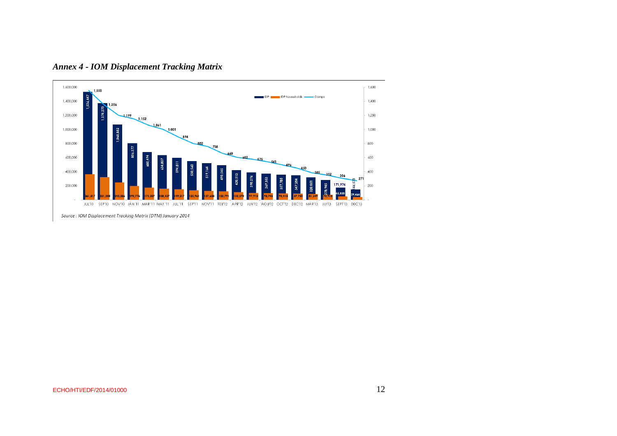